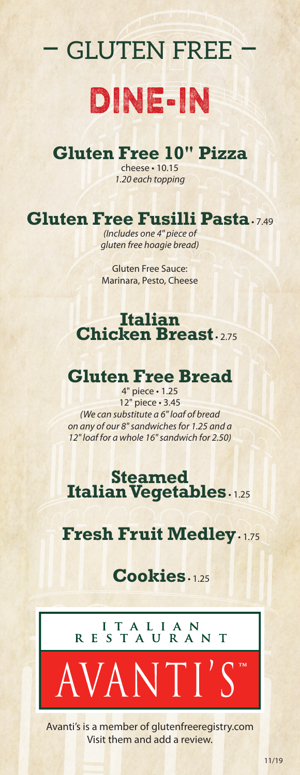# – gluten free – dine-in

# **Gluten Free 10" Pizza**

cheese • 10.15 *1.20 each topping*

## **Gluten Free Fusilli Pasta** • 7.49

*(Includes one 4" piece of gluten free hoagie bread)*

Gluten Free Sauce: Marinara, Pesto, Cheese

#### **Italian Chicken Breast**

#### **Gluten Free Bread**

4" piece • 1.25 12" piece • 3.45 *(We can substitute a 6" loaf of bread on any of our 8" sandwiches for 1.25 and a 12" loaf for a whole 16" sandwich for 2.50)*

#### **Steamed Italian Vegetables** • 1.25

#### **Fresh Fruit Medley** • 1.75

# **Cookies** • 1.25



VANTI'

Avanti's is a member of glutenfreeregistry.com Visit them and add a review.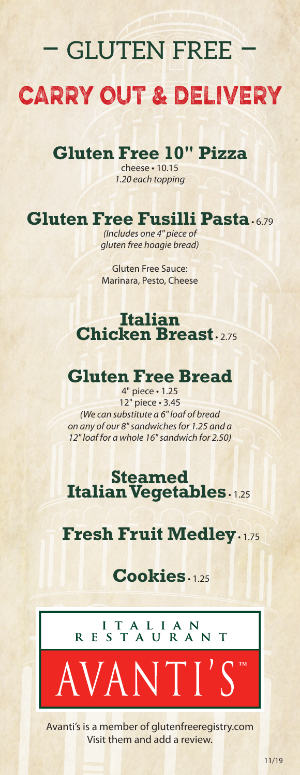# – gluten free – carry out & delivery

# **Gluten Free 10" Pizza**

cheese • 10.15 *1.20 each topping*

# **Gluten Free Fusilli Pasta** • 6.79

*(Includes one 4" piece of gluten free hoagie bread)*

Gluten Free Sauce: Marinara, Pesto, Cheese

#### **Italian Chicken Breast**

#### **Gluten Free Bread**

4" piece • 1.25 12" piece • 3.45 *(We can substitute a 6" loaf of bread on any of our 8" sandwiches for 1.25 and a 12" loaf for a whole 16" sandwich for 2.50)*

#### **Steamed Italian Vegetables** • 1.25

#### **Fresh Fruit Medley** • 1.75

# **Cookies** • 1.25

I T A L I A N<br>R E S T A U R A N T

/ANTI'